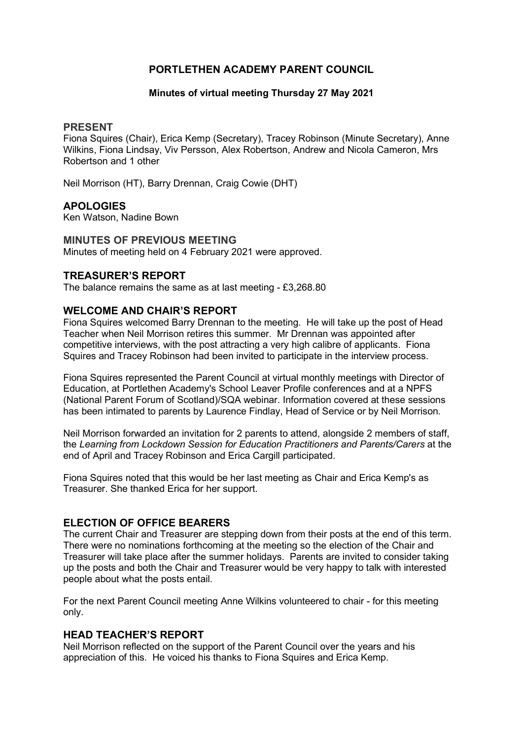# PORTLETHEN ACADEMY PARENT COUNCIL

#### Minutes of virtual meeting Thursday 27 May 2021

#### PRESENT

Fiona Squires (Chair), Erica Kemp (Secretary), Tracey Robinson (Minute Secretary), Anne Wilkins, Fiona Lindsay, Viv Persson, Alex Robertson, Andrew and Nicola Cameron, Mrs Robertson and 1 other

Neil Morrison (HT), Barry Drennan, Craig Cowie (DHT)

# **APOLOGIES**

Ken Watson, Nadine Bown

MINUTES OF PREVIOUS MEETING Minutes of meeting held on 4 February 2021 were approved.

## TREASURER'S REPORT

The balance remains the same as at last meeting - £3,268.80

### WELCOME AND CHAIR'S REPORT

Fiona Squires welcomed Barry Drennan to the meeting. He will take up the post of Head Teacher when Neil Morrison retires this summer. Mr Drennan was appointed after competitive interviews, with the post attracting a very high calibre of applicants. Fiona Squires and Tracey Robinson had been invited to participate in the interview process.

Fiona Squires represented the Parent Council at virtual monthly meetings with Director of Education, at Portlethen Academy's School Leaver Profile conferences and at a NPFS (National Parent Forum of Scotland)/SQA webinar. Information covered at these sessions has been intimated to parents by Laurence Findlay, Head of Service or by Neil Morrison.

Neil Morrison forwarded an invitation for 2 parents to attend, alongside 2 members of staff, the Learning from Lockdown Session for Education Practitioners and Parents/Carers at the end of April and Tracey Robinson and Erica Cargill participated.

Fiona Squires noted that this would be her last meeting as Chair and Erica Kemp's as Treasurer. She thanked Erica for her support.

### ELECTION OF OFFICE BEARERS

The current Chair and Treasurer are stepping down from their posts at the end of this term. There were no nominations forthcoming at the meeting so the election of the Chair and Treasurer will take place after the summer holidays. Parents are invited to consider taking up the posts and both the Chair and Treasurer would be very happy to talk with interested people about what the posts entail.

For the next Parent Council meeting Anne Wilkins volunteered to chair - for this meeting only.

### HEAD TEACHER'S REPORT

Neil Morrison reflected on the support of the Parent Council over the years and his appreciation of this. He voiced his thanks to Fiona Squires and Erica Kemp.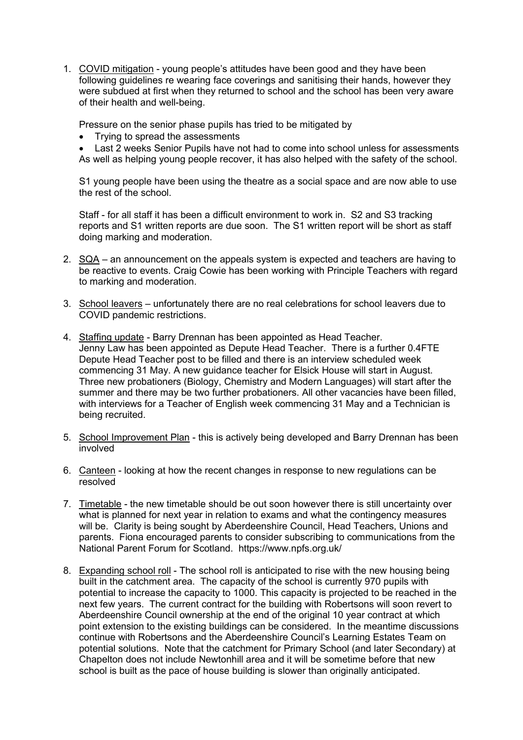1. COVID mitigation - young people's attitudes have been good and they have been following guidelines re wearing face coverings and sanitising their hands, however they were subdued at first when they returned to school and the school has been very aware of their health and well-being.

Pressure on the senior phase pupils has tried to be mitigated by

Trying to spread the assessments

 Last 2 weeks Senior Pupils have not had to come into school unless for assessments As well as helping young people recover, it has also helped with the safety of the school.

S1 young people have been using the theatre as a social space and are now able to use the rest of the school.

Staff - for all staff it has been a difficult environment to work in. S2 and S3 tracking reports and S1 written reports are due soon. The S1 written report will be short as staff doing marking and moderation.

- 2. SQA an announcement on the appeals system is expected and teachers are having to be reactive to events. Craig Cowie has been working with Principle Teachers with regard to marking and moderation.
- 3. School leavers unfortunately there are no real celebrations for school leavers due to COVID pandemic restrictions.
- 4. Staffing update Barry Drennan has been appointed as Head Teacher. Jenny Law has been appointed as Depute Head Teacher. There is a further 0.4FTE Depute Head Teacher post to be filled and there is an interview scheduled week commencing 31 May. A new guidance teacher for Elsick House will start in August. Three new probationers (Biology, Chemistry and Modern Languages) will start after the summer and there may be two further probationers. All other vacancies have been filled, with interviews for a Teacher of English week commencing 31 May and a Technician is being recruited.
- 5. School Improvement Plan this is actively being developed and Barry Drennan has been involved
- 6. Canteen looking at how the recent changes in response to new regulations can be resolved
- 7. Timetable the new timetable should be out soon however there is still uncertainty over what is planned for next year in relation to exams and what the contingency measures will be. Clarity is being sought by Aberdeenshire Council, Head Teachers, Unions and parents. Fiona encouraged parents to consider subscribing to communications from the National Parent Forum for Scotland. https://www.npfs.org.uk/
- 8. Expanding school roll The school roll is anticipated to rise with the new housing being built in the catchment area. The capacity of the school is currently 970 pupils with potential to increase the capacity to 1000. This capacity is projected to be reached in the next few years. The current contract for the building with Robertsons will soon revert to Aberdeenshire Council ownership at the end of the original 10 year contract at which point extension to the existing buildings can be considered. In the meantime discussions continue with Robertsons and the Aberdeenshire Council's Learning Estates Team on potential solutions. Note that the catchment for Primary School (and later Secondary) at Chapelton does not include Newtonhill area and it will be sometime before that new school is built as the pace of house building is slower than originally anticipated.